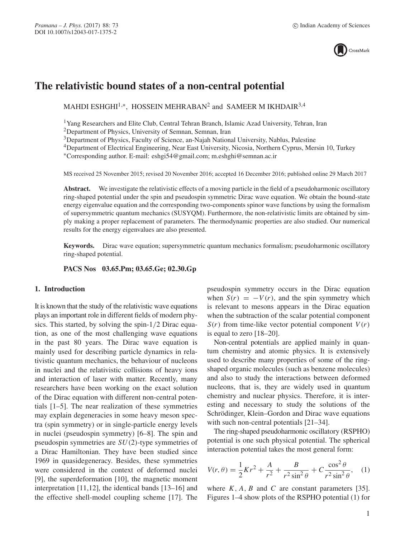

# **The relativistic bound states of a non-central potential**

MAHDI ESHGHI<sup>1,\*</sup>, HOSSEIN MEHRABAN<sup>2</sup> and SAMEER M IKHDAIR<sup>3,4</sup>

<sup>1</sup>Yang Researchers and Elite Club, Central Tehran Branch, Islamic Azad University, Tehran, Iran

2Department of Physics, University of Semnan, Semnan, Iran

<sup>3</sup>Department of Physics, Faculty of Science, an-Najah National University, Nablus, Palestine

4Department of Electrical Engineering, Near East University, Nicosia, Northern Cyprus, Mersin 10, Turkey

∗Corresponding author. E-mail: eshgi54@gmail.com; m.eshghi@semnan.ac.ir

MS received 25 November 2015; revised 20 November 2016; accepted 16 December 2016; published online 29 March 2017

**Abstract.** We investigate the relativistic effects of a moving particle in the field of a pseudoharmonic oscillatory ring-shaped potential under the spin and pseudospin symmetric Dirac wave equation. We obtain the bound-state energy eigenvalue equation and the corresponding two-components spinor wave functions by using the formalism of supersymmetric quantum mechanics (SUSYQM). Furthermore, the non-relativistic limits are obtained by simply making a proper replacement of parameters. The thermodynamic properties are also studied. Our numerical results for the energy eigenvalues are also presented.

**Keywords.** Dirac wave equation; supersymmetric quantum mechanics formalism; pseudoharmonic oscillatory ring-shaped potential.

**PACS Nos 03.65.Pm; 03.65.Ge; 02.30.Gp**

# **1. Introduction**

It is known that the study of the relativistic wave equations plays an important role in different fields of modern physics. This started, by solving the spin-1/2 Dirac equation, as one of the most challenging wave equations in the past 80 years. The Dirac wave equation is mainly used for describing particle dynamics in relativistic quantum mechanics, the behaviour of nucleons in nuclei and the relativistic collisions of heavy ions and interaction of laser with matter. Recently, many researchers have been working on the exact solution of the Dirac equation with different non-central potentials [1–5]. The near realization of these symmetries may explain degeneracies in some heavy meson spectra (spin symmetry) or in single-particle energy levels in nuclei (pseudospin symmetry) [6–8]. The spin and pseudospin symmetries are SU(2)-type symmetries of a Dirac Hamiltonian. They have been studied since 1969 in quasidegeneracy. Besides, these symmetries were considered in the context of deformed nuclei [9], the superdeformation [10], the magnetic moment interpretation [11,12], the identical bands [13–16] and the effective shell-model coupling scheme [17]. The pseudospin symmetry occurs in the Dirac equation when  $S(r) = -V(r)$ , and the spin symmetry which is relevant to mesons appears in the Dirac equation when the subtraction of the scalar potential component  $S(r)$  from time-like vector potential component  $V(r)$ is equal to zero [18–20].

Non-central potentials are applied mainly in quantum chemistry and atomic physics. It is extensively used to describe many properties of some of the ringshaped organic molecules (such as benzene molecules) and also to study the interactions between deformed nucleons, that is, they are widely used in quantum chemistry and nuclear physics. Therefore, it is interesting and necessary to study the solutions of the Schrödinger, Klein–Gordon and Dirac wave equations with such non-central potentials [21–34].

The ring-shaped pseudoharmonic oscillatory (RSPHO) potential is one such physical potential. The spherical interaction potential takes the most general form:

$$
V(r,\theta) = \frac{1}{2}Kr^2 + \frac{A}{r^2} + \frac{B}{r^2\sin^2\theta} + C\frac{\cos^2\theta}{r^2\sin^2\theta},
$$
 (1)

where  $K$ ,  $A$ ,  $B$  and  $C$  are constant parameters [35]. Figures 1–4 show plots of the RSPHO potential (1) for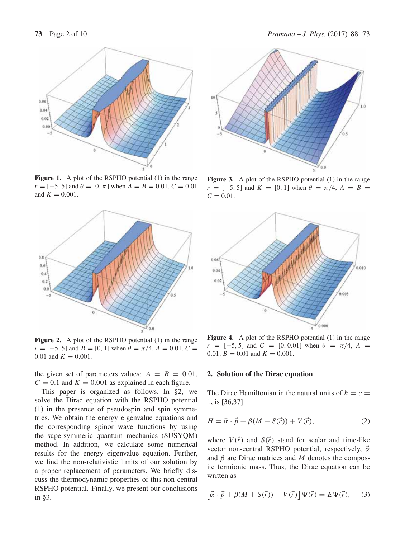

Figure 1. A plot of the RSPHO potential (1) in the range  $r = [-5, 5]$  and  $\theta = [0, \pi]$  when  $A = B = 0.01$ ,  $C = 0.01$ and  $K = 0.001$ .



**Figure 2.** A plot of the RSPHO potential (1) in the range  $r = [-5, 5]$  and  $B = [0, 1]$  when  $\theta = \pi/4$ ,  $A = 0.01$ ,  $C =$ 0.01 and  $K = 0.001$ .

the given set of parameters values:  $A = B = 0.01$ ,  $C = 0.1$  and  $K = 0.001$  as explained in each figure.

This paper is organized as follows. In §2, we solve the Dirac equation with the RSPHO potential (1) in the presence of pseudospin and spin symmetries. We obtain the energy eigenvalue equations and the corresponding spinor wave functions by using the supersymmeric quantum mechanics (SUSYQM) method. In addition, we calculate some numerical results for the energy eigenvalue equation. Further, we find the non-relativistic limits of our solution by a proper replacement of parameters. We briefly discuss the thermodynamic properties of this non-central RSPHO potential. Finally, we present our conclusions in §3.



**Figure 3.** A plot of the RSPHO potential (1) in the range  $r = [-5, 5]$  and  $K = [0, 1]$  when  $\theta = \pi/4$ ,  $A = B =$  $C = 0.01$ .



**Figure 4.** A plot of the RSPHO potential (1) in the range  $r = [-5, 5]$  and  $C = [0, 0.01]$  when  $\theta = \pi/4$ ,  $A =$ 0.01,  $B = 0.01$  and  $K = 0.001$ .

### **2. Solution of the Dirac equation**

The Dirac Hamiltonian in the natural units of  $\hbar = c$  = 1, is [36,37]

$$
H = \vec{\alpha} \cdot \vec{p} + \beta (M + S(\vec{r})) + V(\vec{r}), \qquad (2)
$$

where  $V(\vec{r})$  and  $S(\vec{r})$  stand for scalar and time-like vector non-central RSPHO potential, respectively,  $\vec{\alpha}$ and  $\beta$  are Dirac matrices and M denotes the composite fermionic mass. Thus, the Dirac equation can be written as

$$
\left[\vec{\alpha} \cdot \vec{p} + \beta(M + S(\vec{r})) + V(\vec{r})\right] \Psi(\vec{r}) = E \Psi(\vec{r}), \quad (3)
$$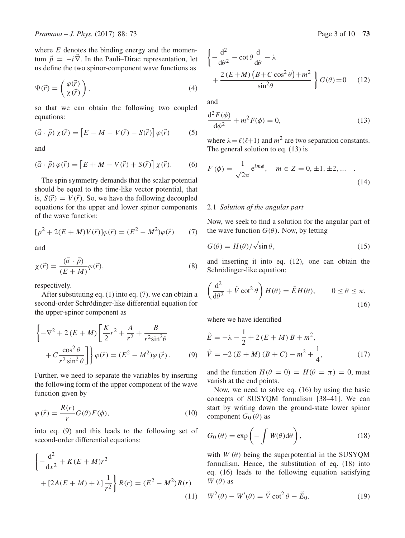where  $E$  denotes the binding energy and the momentum  $\vec{p} = -i\vec{\nabla}$ . In the Pauli–Dirac representation, let us define the two spinor-component wave functions as

$$
\Psi(\vec{r}) = \begin{pmatrix} \varphi(\vec{r}) \\ \chi(\vec{r}) \end{pmatrix},\tag{4}
$$

so that we can obtain the following two coupled equations:

$$
(\vec{\alpha} \cdot \vec{p}) \chi(\vec{r}) = \left[ E - M - V(\vec{r}) - S(\vec{r}) \right] \varphi(\vec{r}) \tag{5}
$$

and

$$
(\vec{\alpha} \cdot \vec{p}) \varphi(\vec{r}) = \left[E + M - V(\vec{r}) + S(\vec{r})\right] \chi(\vec{r}).\tag{6}
$$

The spin symmetry demands that the scalar potential should be equal to the time-like vector potential, that is,  $S(\vec{r}) = V(\vec{r})$ . So, we have the following decoupled equations for the upper and lower spinor components of the wave function:

$$
[p^{2} + 2(E + M)V(\vec{r})]\varphi(\vec{r}) = (E^{2} - M^{2})\varphi(\vec{r})
$$
 (7)

and

$$
\chi(\vec{r}) = \frac{(\vec{\sigma} \cdot \vec{p})}{(E+M)} \varphi(\vec{r}),\tag{8}
$$

respectively.

After substituting eq. (1) into eq. (7), we can obtain a second-order Schrödinger-like differential equation for the upper-spinor component as

$$
\begin{cases}\n-\nabla^2 + 2(E + M) \left[ \frac{K}{2} r^2 + \frac{A}{r^2} + \frac{B}{r^2 \sin^2 \theta} + C \frac{\cos^2 \theta}{r^2 \sin^2 \theta} \right] \n\end{cases}
$$
\n
$$
+ C \frac{\cos^2 \theta}{r^2 \sin^2 \theta} \left[ \frac{\phi(\vec{r})}{r^2} - (E^2 - M^2) \phi(\vec{r}) \right].
$$
\n(9)

Further, we need to separate the variables by inserting the following form of the upper component of the wave function given by

$$
\varphi(\vec{r}) = \frac{R(r)}{r} G(\theta) F(\phi), \qquad (10)
$$

into eq. (9) and this leads to the following set of second-order differential equations:

$$
\left\{-\frac{d^2}{dx^2} + K(E+M)r^2 + [2A(E+M) + \lambda]\frac{1}{r^2}\right\}R(r) = (E^2 - M^2)R(r)
$$
\n(11)

$$
\left\{ -\frac{d^2}{d\theta^2} - \cot\theta \frac{d}{d\theta} - \lambda \right. + \frac{2(E+M)(B+C\cos^2\theta) + m^2}{\sin^2\theta} \right\} G(\theta) = 0 \quad (12)
$$

and

$$
\frac{\mathrm{d}^2 F(\phi)}{\mathrm{d}\phi^2} + m^2 F(\phi) = 0,\tag{13}
$$

where  $\lambda = \ell(\ell+1)$  and  $m^2$  are two separation constants. The general solution to eq. (13) is

$$
F(\phi) = \frac{1}{\sqrt{2\pi}} e^{im\phi}, \quad m \in Z = 0, \pm 1, \pm 2, \dots
$$
 (14)

#### 2.1 *Solution of the angular part*

Now, we seek to find a solution for the angular part of the wave function  $G(\theta)$ . Now, by letting

$$
G(\theta) = H(\theta) / \sqrt{\sin \theta}, \qquad (15)
$$

and inserting it into eq. (12), one can obtain the Schrödinger-like equation:

$$
\left(\frac{\mathrm{d}^2}{\mathrm{d}\theta^2} + \tilde{V}\cot^2\theta\right)H(\theta) = \tilde{E}H(\theta), \qquad 0 \le \theta \le \pi,
$$
\n(16)

where we have identified

$$
\tilde{E} = -\lambda - \frac{1}{2} + 2(E + M) B + m^{2},
$$
\n
$$
\tilde{V} = -2(E + M)(B + C) - m^{2} + \frac{1}{4},
$$
\n(17)

and the function  $H(\theta = 0) = H(\theta = \pi) = 0$ , must vanish at the end points.

Now, we need to solve eq. (16) by using the basic concepts of SUSYQM formalism [38–41]. We can start by writing down the ground-state lower spinor component  $G_0(\theta)$  as

$$
G_0(\theta) = \exp\left(-\int W(\theta) d\theta\right),\tag{18}
$$

with  $W(\theta)$  being the superpotential in the SUSYQM formalism. Hence, the substitution of eq. (18) into eq. (16) leads to the following equation satisfying  $W(\theta)$  as

$$
W^{2}(\theta) - W'(\theta) = \tilde{V} \cot^{2} \theta - \tilde{E}_{0}.
$$
 (19)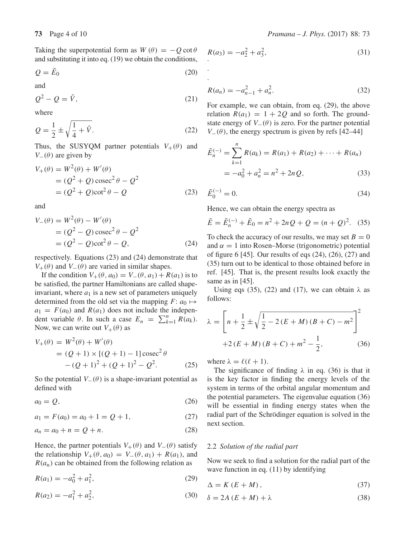Taking the superpotential form as  $W(\theta) = -Q \cot \theta$ and substituting it into eq. (19) we obtain the conditions,

$$
Q = \tilde{E}_0 \tag{20}
$$

and

$$
Q^2 - Q = \tilde{V},\tag{21}
$$

where

$$
Q = \frac{1}{2} \pm \sqrt{\frac{1}{4} + \tilde{V}}.
$$
 (22)

Thus, the SUSYQM partner potentials  $V_+(\theta)$  and  $V_-(\theta)$  are given by

$$
V_{+}(\theta) = W^{2}(\theta) + W'(\theta)
$$
  
=  $(Q^{2} + Q) \csc^{2} \theta - Q^{2}$   
=  $(Q^{2} + Q) \cot^{2} \theta - Q$  (23)

and

$$
V_{-}(\theta) = W^{2}(\theta) - W'(\theta)
$$
  
= (Q<sup>2</sup> - Q) cosec<sup>2</sup> \theta - Q<sup>2</sup>  
= (Q<sup>2</sup> - Q) cot<sup>2</sup> \theta - Q, (24)

respectively. Equations (23) and (24) demonstrate that  $V_{+}(\theta)$  and  $V_{-}(\theta)$  are varied in similar shapes.

If the condition  $V_+(\theta, a_0) = V_-(\theta, a_1) + R(a_1)$  is to be satisfied, the partner Hamiltonians are called shapeinvariant, where  $a_1$  is a new set of parameters uniquely determined from the old set via the mapping  $F: a_0 \mapsto$  $a_1 = F(a_0)$  and  $R(a_1)$  does not include the independent variable  $\theta$ . In such a case  $E_n = \sum_{k=1}^n R(a_k)$ . Now, we can write out  $V_{+}(\theta)$  as

$$
V_{+}(\theta) = W^{2}(\theta) + W'(\theta)
$$
  
= (Q + 1) \times [(Q + 1) - 1] cosec<sup>2</sup> \theta  
-(Q + 1)<sup>2</sup> + (Q + 1)<sup>2</sup> - Q<sup>2</sup>. (25)

So the potential  $V_-(\theta)$  is a shape-invariant potential as defined with

$$
a_0 = Q,\t\t(26)
$$

 $a_1 = F(a_0) = a_0 + 1 = Q + 1,$  (27)

$$
a_n = a_0 + n = Q + n. \tag{28}
$$

Hence, the partner potentials  $V_{+}(\theta)$  and  $V_{-}(\theta)$  satisfy the relationship  $V_+(\theta, a_0) = V_-(\theta, a_1) + R(a_1)$ , and  $R(a_n)$  can be obtained from the following relation as

$$
R(a_1) = -a_0^2 + a_1^2,\tag{29}
$$

$$
R(a_2) = -a_1^2 + a_2^2,\tag{30}
$$

$$
R(a_3) = -a_2^2 + a_3^2,
$$
\n(31)

. .

$$
R(a_n) = -a_{n-1}^2 + a_n^2.
$$
 (32)

For example, we can obtain, from eq. (29), the above relation  $R(a_1) = 1 + 2Q$  and so forth. The groundstate energy of  $V_-(\theta)$  is zero. For the partner potential  $V_-(\theta)$ , the energy spectrum is given by refs [42–44]

$$
\tilde{E}_n^{(-)} = \sum_{k=1}^n R(a_k) = R(a_1) + R(a_2) + \dots + R(a_n)
$$
  
=  $-a_0^2 + a_n^2 = n^2 + 2nQ,$  (33)

$$
\tilde{E}_0^{(-)} = 0.\t\t(34)
$$

Hence, we can obtain the energy spectra as

$$
\tilde{E} = \tilde{E}_n^{(-)} + \tilde{E}_0 = n^2 + 2nQ + Q = (n+Q)^2.
$$
 (35)

To check the accuracy of our results, we may set  $B = 0$ and  $\alpha = 1$  into Rosen–Morse (trigonometric) potential of figure 6 [45]. Our results of eqs (24), (26), (27) and (35) turn out to be identical to those obtained before in ref. [45]. That is, the present results look exactly the same as in [45].

Using eqs (35), (22) and (17), we can obtain  $\lambda$  as follows:

$$
\lambda = \left[ n + \frac{1}{2} \pm \sqrt{\frac{1}{2} - 2(E + M)(B + C) - m^2} \right]^2
$$
  
+2(E + M)(B + C) + m<sup>2</sup> -  $\frac{1}{2}$ , (36)

where  $\lambda = \ell(\ell+1)$ .

The significance of finding  $\lambda$  in eq. (36) is that it is the key factor in finding the energy levels of the system in terms of the orbital angular momentum and the potential parameters. The eigenvalue equation (36) will be essential in finding energy states when the radial part of the Schrödinger equation is solved in the next section.

#### 2.2 *Solution of the radial part*

Now we seek to find a solution for the radial part of the wave function in eq. (11) by identifying

$$
\Delta = K (E + M), \tag{37}
$$

$$
\delta = 2A(E + M) + \lambda \tag{38}
$$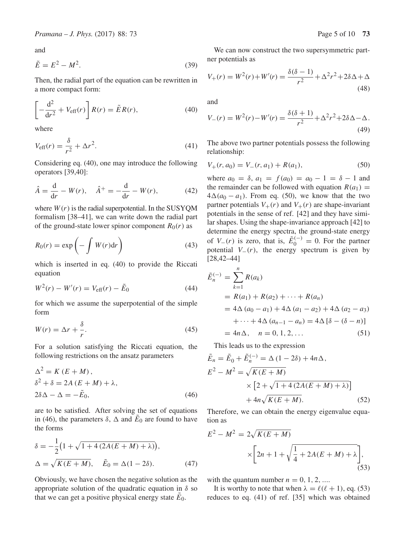and

$$
\tilde{E} = E^2 - M^2. \tag{39}
$$

Then, the radial part of the equation can be rewritten in a more compact form:

$$
\left[-\frac{\mathrm{d}^2}{\mathrm{d}r^2} + V_{\text{eff}}(r)\right]R(r) = \tilde{E}R(r),\tag{40}
$$

where

$$
V_{\text{eff}}(r) = \frac{\delta}{r^2} + \Delta r^2. \tag{41}
$$

Considering eq. (40), one may introduce the following operators [39,40]:

$$
\hat{A} = \frac{d}{dr} - W(r), \quad \hat{A}^{+} = -\frac{d}{dr} - W(r),
$$
\n(42)

where  $W(r)$  is the radial superpotential. In the SUSYOM formalism [38–41], we can write down the radial part of the ground-state lower spinor component  $R_0(r)$  as

$$
R_0(r) = \exp\left(-\int W(r)dr\right) \tag{43}
$$

which is inserted in eq. (40) to provide the Riccati equation

$$
W^{2}(r) - W'(r) = V_{\text{eff}}(r) - \tilde{E}_{0}
$$
\n(44)

for which we assume the superpotential of the simple form

$$
W(r) = \Delta r + \frac{\delta}{r}.\tag{45}
$$

For a solution satisfying the Riccati equation, the following restrictions on the ansatz parameters

$$
\Delta^{2} = K (E + M),\n\delta^{2} + \delta = 2A (E + M) + \lambda,\n2\delta\Delta - \Delta = -\tilde{E}_{0},
$$
\n(46)

are to be satisfied. After solving the set of equations in (46), the parameters  $\delta$ ,  $\Delta$  and  $\tilde{E}_0$  are found to have the forms

$$
\delta = -\frac{1}{2} \left( 1 + \sqrt{1 + 4(2A(E + M) + \lambda)} \right),
$$
  
\n
$$
\Delta = \sqrt{K(E + M)}, \quad \tilde{E}_0 = \Delta (1 - 2\delta).
$$
 (47)

Obviously, we have chosen the negative solution as the appropriate solution of the quadratic equation in  $\delta$  so that we can get a positive physical energy state  $E_0$ .

We can now construct the two supersymmetric partner potentials as

$$
V_{+}(r) = W^{2}(r) + W'(r) = \frac{\delta(\delta - 1)}{r^{2}} + \Delta^{2}r^{2} + 2\delta\Delta + \Delta
$$
\n(48)

and

$$
V_{-}(r) = W^{2}(r) - W'(r) = \frac{\delta(\delta + 1)}{r^{2}} + \Delta^{2}r^{2} + 2\delta\Delta - \Delta.
$$
\n(49)

The above two partner potentials possess the following relationship:

$$
V_{+}(r, a_0) = V_{-}(r, a_1) + R(a_1), \tag{50}
$$

where  $a_0 = \delta$ ,  $a_1 = f(a_0) = a_0 - 1 = \delta - 1$  and the remainder can be followed with equation  $R(a_1)$  =  $4\Delta(a_0 - a_1)$ . From eq. (50), we know that the two partner potentials  $V_+(r)$  and  $V_+(r)$  are shape-invariant potentials in the sense of ref. [42] and they have similar shapes. Using the shape-invariance approach [42] to determine the energy spectra, the ground-state energy of  $V_-(r)$  is zero, that is,  $\tilde{E}_0^{(-)} = 0$ . For the partner potential  $V_-(r)$ , the energy spectrum is given by [28,42–44]

$$
\tilde{E}_n^{(-)} = \sum_{k=1}^n R(a_k)
$$
  
=  $R(a_1) + R(a_2) + \cdots + R(a_n)$   
=  $4\Delta (a_0 - a_1) + 4\Delta (a_1 - a_2) + 4\Delta (a_2 - a_3)$   
+  $\cdots + 4\Delta (a_{n-1} - a_n) = 4\Delta [\delta - (\delta - n)]$   
=  $4n\Delta$ ,  $n = 0, 1, 2, \dots$  (51)

This leads us to the expression

$$
\tilde{E}_n = \tilde{E}_0 + \tilde{E}_n^{(-)} = \Delta (1 - 2\delta) + 4n\Delta,
$$
  
\n
$$
E^2 - M^2 = \sqrt{K(E + M)}
$$
  
\n
$$
\times [2 + \sqrt{1 + 4(2A(E + M) + \lambda)}]
$$
  
\n
$$
+ 4n\sqrt{K(E + M)}.
$$
\n(52)

Therefore, we can obtain the energy eigenvalue equation as

$$
E^{2} - M^{2} = 2\sqrt{K(E+M)}
$$

$$
\times \left[2n + 1 + \sqrt{\frac{1}{4} + 2A(E+M) + \lambda}\right],
$$
(53)

with the quantum number  $n = 0, 1, 2, \dots$ 

It is worthy to note that when  $\lambda = \ell(\ell + 1)$ , eq. (53) reduces to eq. (41) of ref. [35] which was obtained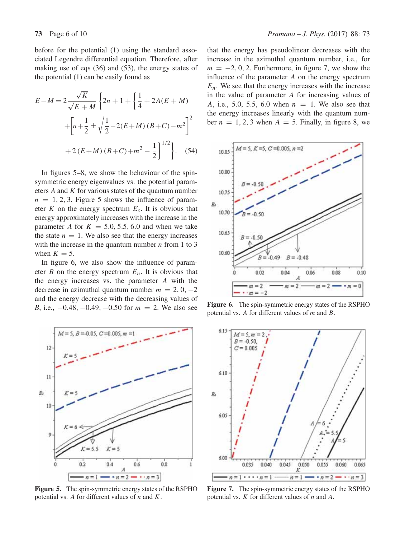before for the potential (1) using the standard associated Legendre differential equation. Therefore, after making use of eqs (36) and (53), the energy states of the potential (1) can be easily found as

$$
E-M = 2\frac{\sqrt{K}}{\sqrt{E+M}} \left\{ 2n + 1 + \left\{ \frac{1}{4} + 2A(E+M) + \left[ n + \frac{1}{2} \pm \sqrt{\frac{1}{2} - 2(E+M)(B+C) - m^2} \right]^2 \right\}
$$
  
+2(E+M)(B+C) + m<sup>2</sup> -  $\frac{1}{2}$   $\left\}^{1/2}$  (54)

In figures 5–8, we show the behaviour of the spinsymmetric energy eigenvalues vs. the potential parameters  $A$  and  $K$  for various states of the quantum number  $n = 1, 2, 3$ . Figure 5 shows the influence of parameter K on the energy spectrum  $E_s$ . It is obvious that energy approximately increases with the increase in the parameter A for  $K = 5.0, 5.5, 6.0$  and when we take the state  $n = 1$ . We also see that the energy increases with the increase in the quantum number  $n$  from 1 to 3 when  $K = 5$ .

In figure 6, we also show the influence of parameter B on the energy spectrum  $E_n$ . It is obvious that the energy increases vs. the parameter A with the decrease in azimuthal quantum number  $m = 2, 0, -2$ and the energy decrease with the decreasing values of *B*, i.e.,  $-0.48$ ,  $-0.49$ ,  $-0.50$  for  $m = 2$ . We also see



**Figure 5.** The spin-symmetric energy states of the RSPHO potential vs. A for different values of  $n$  and  $K$ .

that the energy has pseudolinear decreases with the increase in the azimuthal quantum number, i.e., for  $m = -2, 0, 2$ . Furthermore, in figure 7, we show the influence of the parameter A on the energy spectrum  $E_n$ . We see that the energy increases with the increase in the value of parameter A for increasing values of A, i.e., 5.0, 5.5, 6.0 when  $n = 1$ . We also see that the energy increases linearly with the quantum number  $n = 1, 2, 3$  when  $A = 5$ . Finally, in figure 8, we



**Figure 6.** The spin-symmetric energy states of the RSPHO potential vs. A for different values of m and B.



**Figure 7.** The spin-symmetric energy states of the RSPHO potential vs.  $K$  for different values of  $n$  and  $A$ .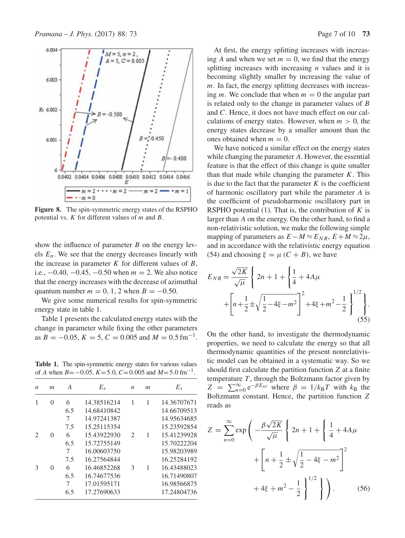

**Figure 8.** The spin-symmetric energy states of the RSPHO potential vs.  $K$  for different values of  $m$  and  $B$ .

show the influence of parameter  $B$  on the energy levels  $E_n$ . We see that the energy decreases linearly with the increase in parameter  $K$  for different values of  $B$ , i.e.,  $-0.40$ ,  $-0.45$ ,  $-0.50$  when  $m = 2$ . We also notice that the energy increases with the decrease of azimuthal quantum number  $m = 0, 1, 2$  when  $B = -0.50$ .

We give some numerical results for spin-symmetric energy state in table 1.

Table 1 presents the calculated energy states with the change in parameter while fixing the other parameters as  $B = -0.05$ ,  $K = 5$ ,  $C = 0.005$  and  $M = 0.5$  fm<sup>-1</sup>.

**Table 1.** The spin-symmetric energy states for various values of A when  $B = -0.05$ ,  $K = 5.0$ ,  $C = 0.005$  and  $M = 5.0$  fm<sup>-1</sup>.

| n | $\boldsymbol{m}$ | A   | $E_s$       | $\boldsymbol{n}$ | $\boldsymbol{m}$ | $E_s$       |
|---|------------------|-----|-------------|------------------|------------------|-------------|
|   | 0                | 6   | 14.38516214 | 1                |                  | 14.36707671 |
|   |                  | 6.5 | 14.68410842 |                  |                  | 14.66709513 |
|   |                  |     | 14.97241387 |                  |                  | 14.95634685 |
|   |                  | 7.5 | 15.25115354 |                  |                  | 15.23592854 |
|   | $\mathbf{0}$     | 6   | 15.43922930 | $\mathcal{L}$    | 1                | 15.41239928 |
|   |                  | 6.5 | 15.72755149 |                  |                  | 15.70222204 |
|   |                  | 7   | 16.00603750 |                  |                  | 15.98203989 |
|   |                  | 7.5 | 16.27564844 |                  |                  | 16.25284192 |
|   | ∩                | 6   | 16.46852268 | 3                | 1                | 16.43488023 |
|   |                  | 6.5 | 16.74677536 |                  |                  | 16.71490807 |
|   |                  | 7   | 17.01595171 |                  |                  | 16.98566875 |
|   |                  | 6.5 | 17.27690633 |                  |                  | 17.24804736 |
|   |                  |     |             |                  |                  |             |

At first, the energy splitting increases with increasing A and when we set  $m = 0$ , we find that the energy splitting increases with increasing  $n$  values and it is becoming slightly smaller by increasing the value of  $m$ . In fact, the energy splitting decreases with increasing m. We conclude that when  $m = 0$  the angular part is related only to the change in parameter values of B and C. Hence, it does not have much effect on our calculations of energy states. However, when  $m > 0$ , the energy states decrease by a smaller amount than the ones obtained when  $m = 0$ .

We have noticed a similar effect on the energy states while changing the parameter A. However, the essential feature is that the effect of this change is quite smaller than that made while changing the parameter  $K$ . This is due to the fact that the parameter  $K$  is the coefficient of harmonic oscillatory part while the parameter A is the coefficient of pseudoharmonic oscillatory part in RSPHO potential  $(1)$ . That is, the contribution of K is larger than A on the energy. On the other hand, to find a non-relativistic solution, we make the following simple mapping of parameters as  $E-M \approx E_{NR}$ ,  $E+M \approx 2\mu$ , and in accordance with the relativistic energy equation (54) and choosing  $\xi = \mu (C + B)$ , we have

$$
E_{NR} = \frac{\sqrt{2K}}{\sqrt{\mu}} \left\{ 2n + 1 + \left\{ \frac{1}{4} + 4A\mu \right. \\ + \left[ n + \frac{1}{2} \pm \sqrt{\frac{1}{2} - 4\xi - m^2} \right]^2 + 4\xi + m^2 - \frac{1}{2} \right\}^{1/2} \right\}.
$$
\n(55)

On the other hand, to investigate the thermodynamic properties, we need to calculate the energy so that all thermodynamic quantities of the present nonrelativistic model can be obtained in a systematic way. So we should first calculate the partition function Z at a finite temperature  $T$ , through the Boltzmann factor given by  $Z = \sum_{n=0}^{\infty} e^{-\beta E_n t}$  where  $\beta = 1/k_B T$  with  $k_B$  the Boltzmann constant. Hence, the partition function Z reads as

$$
Z = \sum_{n=0}^{\infty} \exp\left(-\frac{\beta\sqrt{2K}}{\sqrt{\mu}} \left\{2n+1+\left\{\frac{1}{4}+4A\mu\right.\right.\right.+\left[n+\frac{1}{2}\pm\sqrt{\frac{1}{2}-4\xi-m^2}\right]^2\right.+4\xi+m^2-\frac{1}{2}\left.\right\}^{1/2}\right\}.
$$
 (56)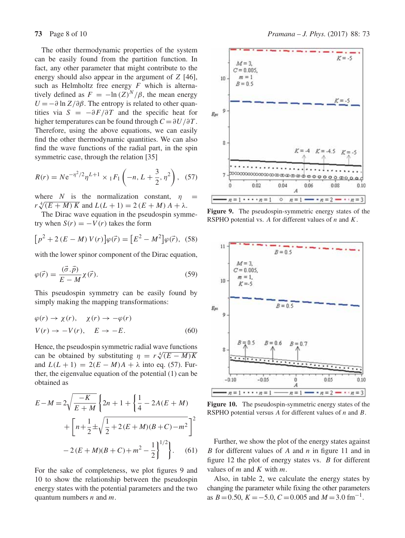The other thermodynamic properties of the system can be easily found from the partition function. In fact, any other parameter that might contribute to the energy should also appear in the argument of Z [46], such as Helmholtz free energy  $F$  which is alternatively defined as  $F = -\ln(Z)^N/\beta$ , the mean energy  $U = -\partial \ln Z / \partial \beta$ . The entropy is related to other quantities via  $S = -\frac{\partial F}{\partial T}$  and the specific heat for higher temperatures can be found through  $C = \partial U / \partial T$ . Therefore, using the above equations, we can easily find the other thermodynamic quantities. We can also find the wave functions of the radial part, in the spin symmetric case, through the relation [35]

$$
R(r) = N e^{-\eta^2/2} \eta^{L+1} \times {}_1F_1\left(-n, L + \frac{3}{2}, \eta^2\right), \tag{57}
$$

where N is the normalization constant,  $\eta$  $r \sqrt[4]{(E+M) K}$  and  $L(L+1) = 2 (E+M) A + \lambda$ .

The Dirac wave equation in the pseudospin symmetry when  $S(r) = -V(r)$  takes the form

$$
[p^{2} + 2(E - M) V(r)]\varphi(\vec{r}) = [E^{2} - M^{2}]\varphi(\vec{r}), (58)
$$

with the lower spinor component of the Dirac equation,

$$
\varphi(\vec{r}) = \frac{(\vec{\sigma} \cdot \vec{p})}{E - M} \chi(\vec{r}).
$$
\n(59)

This pseudospin symmetry can be easily found by simply making the mapping transformations:

$$
\varphi(r) \to \chi(r), \quad \chi(r) \to -\varphi(r)
$$
  

$$
V(r) \to -V(r), \quad E \to -E.
$$
 (60)

Hence, the pseudospin symmetric radial wave functions can be obtained by substituting  $\eta = r \sqrt[4]{(E - M)K}$ and  $L(L + 1) = 2(E - M)A + \lambda$  into eq. (57). Further, the eigenvalue equation of the potential (1) can be obtained as

$$
E-M = 2\sqrt{\frac{-K}{E+M}} \left\{ 2n + 1 + \left\{ \frac{1}{4} - 2A(E+M) + \left[ n + \frac{1}{2} \pm \sqrt{\frac{1}{2} + 2(E+M)(B+C) - m^2} \right]^2 \right\}
$$

$$
-2(E+M)(B+C) + m^2 - \frac{1}{2} \left\}^{1/2} \right\}.
$$
 (61)

For the sake of completeness, we plot figures 9 and 10 to show the relationship between the pseudospin energy states with the potential parameters and the two quantum numbers  $n$  and  $m$ .



**Figure 9.** The pseudospin-symmetric energy states of the RSPHO potential vs. A for different values of  $n$  and  $K$ .



Figure 10. The pseudospin-symmetric energy states of the RSPHO potential versus A for different values of n and B.

Further, we show the plot of the energy states against B for different values of A and  $n$  in figure 11 and in figure 12 the plot of energy states vs. B for different values of  $m$  and  $K$  with  $m$ .

Also, in table 2, we calculate the energy states by changing the parameter while fixing the other parameters as  $B = 0.50$ ,  $K = -5.0$ ,  $C = 0.005$  and  $M = 3.0$  fm<sup>-1</sup>.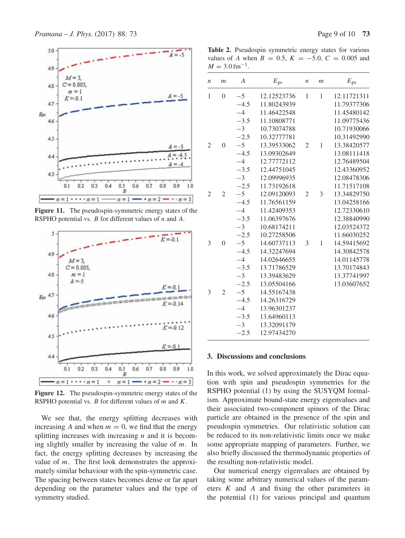

**Figure 11.** The pseudospin-symmetric energy states of the RSPHO potential vs.  $B$  for different values of  $n$  and  $A$ .



**Figure 12.** The pseudospin-symmetric energy states of the RSPHO potential vs.  $B$  for different values of  $m$  and  $K$ .

We see that, the energy splitting decreases with increasing A and when  $m = 0$ , we find that the energy splitting increases with increasing  $n$  and it is becoming slightly smaller by increasing the value of  $m$ . In fact, the energy splitting decreases by increasing the value of  $m$ . The first look demonstrates the approximately similar behaviour with the spin-symmetric case. The spacing between states becomes dense or far apart depending on the parameter values and the type of symmetry studied.

Table 2. Pseudospin symmetric energy states for various values of A when  $B = 0.5$ ,  $K = -5.0$ ,  $C = 0.005$  and  $M = 3.0$  fm<sup>-1</sup>.

| n              | $\mathfrak{m}$ | $\boldsymbol{A}$ | $E_{\rm ps}$ | $\boldsymbol{n}$ | m | $E_{\rm ps}$ |
|----------------|----------------|------------------|--------------|------------------|---|--------------|
| 1              | $\overline{0}$ | $-5$             | 12.12523736  | 1                | 1 | 12.11721311  |
|                |                | $-4.5$           | 11.80243939  |                  |   | 11.79377306  |
|                |                | $-4$             | 11.46422548  |                  |   | 11.45480142  |
|                |                | $-3.5$           | 11.10808771  |                  |   | 11.09775436  |
|                |                | $-3$             | 10.73074788  |                  |   | 10.71930066  |
|                |                | $-2.5$           | 10.32777781  |                  |   | 10.31492990  |
| $\overline{2}$ | $\theta$       | $-5$             | 13.39533062  | $\overline{2}$   | 1 | 13.38420577  |
|                |                | $-4.5$           | 13.09302649  |                  |   | 13.08111418  |
|                |                | $-4$             | 12.77772112  |                  |   | 12.76489504  |
|                |                | $-3.5$           | 12.44751045  |                  |   | 12.43360952  |
|                |                | $-3$             | 12.09996935  |                  |   | 12.08478306  |
|                |                | $-2.5$           | 11.73192618  |                  |   | 11.71517108  |
| $\overline{2}$ | $\overline{2}$ | $-5$             | 12.09120093  | $\overline{2}$   | 3 | 13.34829750  |
|                |                | $-4.5$           | 11.76561159  |                  |   | 13.04258166  |
|                |                | $-4$             | 11.42409353  |                  |   | 12.72330610  |
|                |                | $-3.5$           | 11.06397676  |                  |   | 12.38840990  |
|                |                | $-3$             | 10.68174211  |                  |   | 12.03524372  |
|                |                | $-2.5$           | 10.27258506  |                  |   | 11.66030252  |
| 3              | $\theta$       | $-5$             | 14.60737113  | 3                | 1 | 14.59415692  |
|                |                | $-4.5$           | 14.32247694  |                  |   | 14.30842578  |
|                |                | $-4$             | 14.02646655  |                  |   | 14.01145778  |
|                |                | $-3.5$           | 13.71786529  |                  |   | 13.70174843  |
|                |                | $-3$             | 13.39483629  |                  |   | 13.37741997  |
|                |                | $-2.5$           | 13.05504166  |                  |   | 13.03607652  |
| 3              | $\overline{2}$ | $-5$             | 14.55167438  |                  |   |              |
|                |                | $-4.5$           | 14.26316729  |                  |   |              |
|                |                | $-4$             | 13.96301237  |                  |   |              |
|                |                | $-3.5$           | 13.64960113  |                  |   |              |
|                |                | $-3$             | 13.32091179  |                  |   |              |
|                |                | $-2.5$           | 12.97434270  |                  |   |              |
|                |                |                  |              |                  |   |              |

### **3. Discussions and conclusions**

In this work, we solved approximately the Dirac equation with spin and pseudospin symmetries for the RSPHO potential (1) by using the SUSYQM formalism. Approximate bound-state energy eigenvalues and their associated two-component spinors of the Dirac particle are obtained in the presence of the spin and pseudospin symmetries. Our relativistic solution can be reduced to its non-relativistic limits once we make some appropriate mapping of parameters. Further, we also briefly discussed the thermodynamic properties of the resulting non-relativistic model.

Our numerical energy eigenvalues are obtained by taking some arbitrary numerical values of the parameters K and A and fixing the other parameters in the potential (1) for various principal and quantum